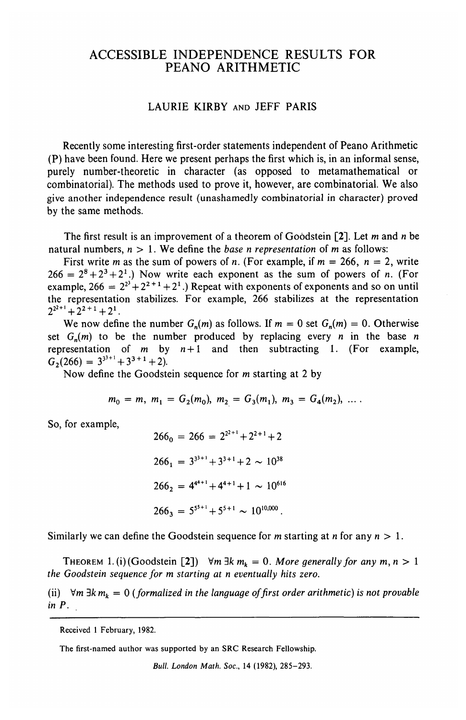## ACCESSIBLE INDEPENDENCE RESULTS FOR PEANO ARITHMETIC

## LAURIE KIRBY AND JEFF PARIS

Recently some interesting first-order statements independent of Peano Arithmetic (P) have been found. Here we present perhaps the first which is, in an informal sense, purely number-theoretic in character (as opposed to metamathematical or combinatorial). The methods used to prove it, however, are combinatorial. We also give another independence result (unashamedly combinatorial in character) proved by the same methods.

The first result is an improvement of a theorem of Goodstein [2]. Let *m* and *n* be natural numbers, *n >* 1. We define the *base n representation* of *m* as follows:

First write *m* as the sum of powers of *n*. (For example, if  $m = 266$ ,  $n = 2$ , write  $266 = 2^8 + 2^3 + 2^1$ .) Now write each exponent as the sum of powers of *n*. (For example,  $266 = 2^{2^3} + 2^{2^2+1} + 2^{1}$ .) Repeat with exponents of exponents and so on unti the representation stabilizes. For example, 266 stabilizes at the representation  $2^{2^{2+1}} + 2^{2+1} + 2^1$ 

We now define the number  $G_n(m)$  as follows. If  $m = 0$  set  $G_n(m) = 0$ . Otherwise set  $G_n(m)$  to be the number produced by replacing every *n* in the base *n* representation of m by *n +*1 and then subtracting 1. (For example,  $G_2(266) = 3^{3^{3+1}} + 3^{3+1} + 2$ 

Now define the Goodstein sequence for m starting at 2 by

$$
m_0 = m, m_1 = G_2(m_0), m_2 = G_3(m_1), m_3 = G_4(m_2), \ldots
$$

So, for example,

$$
266_0 = 266 = 2^{2^{2+1}} + 2^{2+1} + 2
$$
  
\n
$$
266_1 = 3^{3^{3+1}} + 3^{3+1} + 2 \sim 10^{38}
$$
  
\n
$$
266_2 = 4^{4^{4+1}} + 4^{4+1} + 1 \sim 10^{616}
$$
  
\n
$$
266_3 = 5^{5^{5+1}} + 5^{5+1} \sim 10^{10,000}
$$

Similarly we can define the Goodstein sequence for m starting at *n* for any *n >* 1.

THEOREM 1. (i) (Goodstein [2])  $\forall m \exists k m_k = 0$ . More generally for any  $m, n > 1$ *the Goodstein sequence for m starting at n eventually hits zero.*

(ii)  $\forall m \exists k m_k = 0$  (formalized in the language of first order arithmetic) is not provable *in P.*

The first-named author was supported by an SRC Research Fellowship.

Received 1 February, 1982.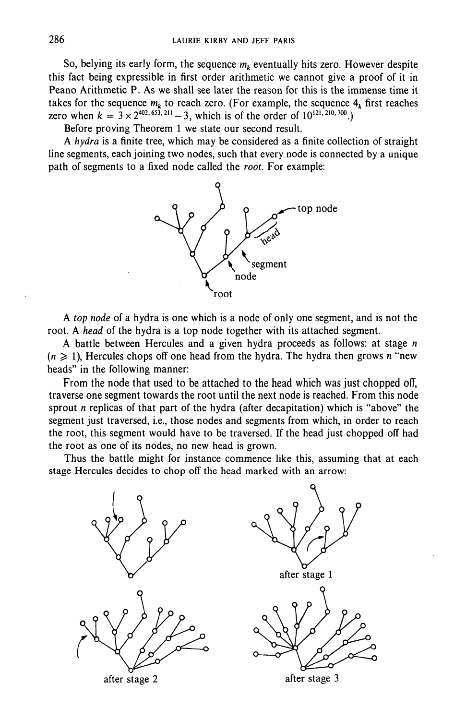So, belying its early form, the sequence  $m_k$  eventually hits zero. However despite this fact being expressible in first order arithmetic we cannot give a proof of it in Peano Arithmetic P. As we shall see later the reason for this is the immense time it takes for the sequence  $m_k$  to reach zero. (For example, the sequence  $4_k$  first reaches zero when  $k = 3 \times 2^{402, 653, 211} - 3$ , which is of the order of  $10^{121, 210, 700}$ .

Before proving Theorem 1 we state our second result.

A *hydra* is a finite tree, which may be considered as a finite collection of straight line segments, each joining two nodes, such that every node is connected by a unique path of segments to a fixed node called the *root.* For example:



A *top node* of a hydra is one which is a node of only one segment, and is not the root. A *head* of the hydra is a top node together with its attached segment.

A battle between Hercules and a given hydra proceeds as follows: at stage *n*  $(n \geq 1)$ , Hercules chops off one head from the hydra. The hydra then grows *n* "new heads" in the following manner:

From the node that used to be attached to the head which was just chopped off, traverse one segment towards the root until the next node is reached. From this node sprout *n* replicas of that part of the hydra (after decapitation) which is "above" the segment just traversed, i.e., those nodes and segments from which, in order to reach the root, this segment would have to be traversed. If the head just chopped off had the root as one of its nodes, no new head is grown.

Thus the battle might for instance commence like this, assuming that at each stage Hercules decides to chop off the head marked with an arrow:

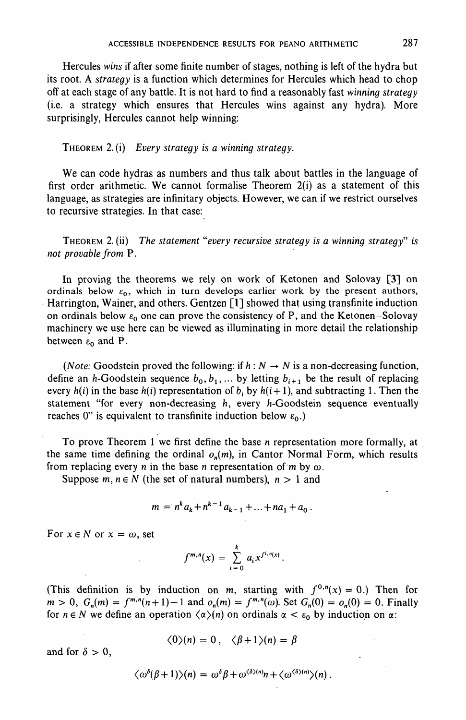Hercules *wins* if after some finite number of stages, nothing is left of the hydra but its root. A *strategy* is a function which determines for Hercules which head to chop off at each stage of any battle. It is not hard to find a reasonably fast *winning strategy* (i.e. a strategy which ensures that Hercules wins against any hydra). More surprisingly, Hercules cannot help winning:

THEOREM 2. (i) *Every strategy is a winning strategy.*

We can code hydras as numbers and thus talk about battles in the language of first order arithmetic. We cannot formalise Theorem 2(i) as a statement of this language, as strategies are infinitary objects. However, we can if we restrict ourselves to recursive strategies. In that case:

THEOREM 2. (ii) *The statement "every recursive strategy is a winning strategy" is not provable from* P.

In proving the theorems we rely on work of Ketonen and Solovay [3] on ordinals below  $\varepsilon_0$ , which in turn develops earlier work by the present authors, Harrington, Wainer, and others. Gentzen [1] showed that using transfinite induction on ordinals below  $\varepsilon_0$  one can prove the consistency of P, and the Ketonen-Solovay machinery we use here can be viewed as illuminating in more detail the relationship between  $\varepsilon_0$  and P.

*(Note:* Goodstein proved the following: if  $h : N \to N$  is a non-decreasing function, define an *h*-Goodstein sequence  $b_0, b_1, ...$  by letting  $b_{i+1}$  be the result of replacing every  $h(i)$  in the base  $h(i)$  representation of  $b_i$  by  $h(i+1)$ , and subtracting 1. Then the statement "for every non-decreasing h, every h-Goodstein sequence eventually reaches 0" is equivalent to transfinite induction below  $\varepsilon_0$ .)

To prove Theorem 1 we first define the base *n* representation more formally, at the same time defining the ordinal  $o_n(m)$ , in Cantor Normal Form, which results from replacing every *n* in the base *n* representation of *m* by  $\omega$ .

Suppose  $m, n \in N$  (the set of natural numbers),  $n > 1$  and

$$
m = n^k a_k + n^{k-1} a_{k-1} + \dots + na_1 + a_0.
$$

For  $x \in N$  or  $x = \omega$ , set

$$
f^{m,n}(x) = \sum_{i=0}^{k} a_i x^{f^{i,n}(x)}.
$$

(This definition is by induction on m, starting with  $f^{0,n}(x) = 0$ .) Then for  $m > 0$ ,  $G_n(m) = f^{m,n}(n+1) - 1$  and  $o_n(m) = f^{m,n}(\omega)$ . Set  $G_n(0) = o_n(0) = 0$ . Finally for  $n \in N$  we define an operation  $\langle \alpha \rangle(n)$  on ordinals  $\alpha < \varepsilon_0$  by induction on  $\alpha$ :

$$
\langle 0 \rangle(n) = 0, \quad \langle \beta + 1 \rangle(n) = \beta
$$

and for  $\delta > 0$ ,

$$
\langle \omega^{\delta}(\beta+1)\rangle(n) = \omega^{\delta}\beta + \omega^{\langle \delta \rangle(n)}n + \langle \omega^{\langle \delta \rangle(n)}\rangle(n).
$$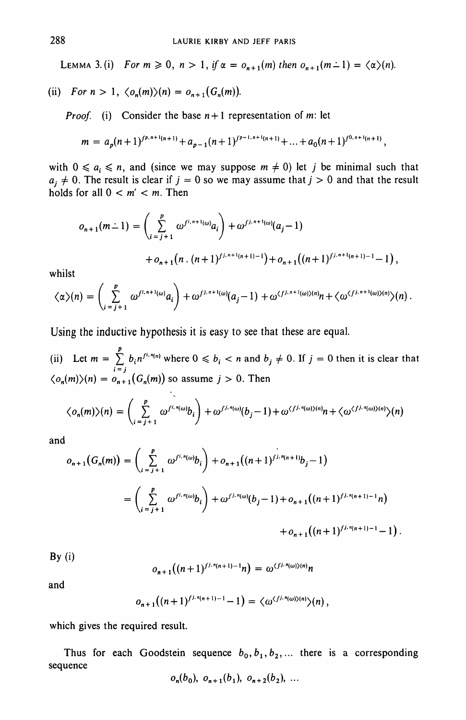LEMMA 3. (i) For  $m \ge 0$ ,  $n > 1$ , if  $\alpha = o_{n+1}(m)$  then  $o_{n+1}(m-1) = \langle \alpha \rangle(n)$ .

(ii) For 
$$
n > 1
$$
,  $\langle o_n(m) \rangle(n) = o_{n+1}(G_n(m))$ .

*Proof,* (i) Consider the base *n +*1 representation of m: let

$$
m = a_p(n+1)^{f^{p,n+1}(n+1)} + a_{p-1}(n+1)^{f^{p-1,n+1}(n+1)} + \ldots + a_0(n+1)^{f^{0,n+1}(n+1)},
$$

with  $0 \nleq a_i \nleq n$ , and (since we may suppose  $m \neq 0$ ) let j be minimal such that  $a_i \neq 0$ . The result is clear if  $j = 0$  so we may assume that  $j > 0$  and that the result holds for all  $0 < m' < m$ . Then

$$
o_{n+1}(m-1) = \left(\sum_{i=j+1}^{p} \omega^{f^{i,n+1}(\omega)} a_i\right) + \omega^{f^{j,n+1}(\omega)}(a_j-1)
$$
  
+ 
$$
o_{n+1}(n \cdot (n+1)^{f^{j,n+1}(n+1)-1}) + o_{n+1}((n+1)^{f^{j,n+1}(n+1)-1}-1),
$$

whilst

$$
\langle \alpha \rangle(n) = \left( \sum_{i=j+1}^p \omega^{f^{i,n+1}(\omega)} a_i \right) + \omega^{f^{j,n+1}(\omega)}(a_j-1) + \omega^{\langle f^{j,n+1}(\omega) \rangle(n)} n + \langle \omega^{\langle f^{j,n+1}(\omega) \rangle(n)} \rangle(n).
$$

Using the inductive hypothesis it is easy to see that these are equal.

(ii) Let  $m = \sum_{i=1}^{p} b_i n^{f^{(i,n(n)}}$  where  $0 \leq b_i < n$  and  $b_j \neq 0$ . If  $j = 0$  then it is clear that  $\langle o_n(m)\rangle(n) = o_{n+1}(G_n(m))$  so assume  $j > 0$ . Then

$$
\langle o_n(m)\rangle(n) = \left(\sum_{i=j+1}^p \omega^{f^{i,n}(\omega)}b_i\right) + \omega^{f^{j,n}(\omega)}(b_j-1) + \omega^{\langle f^{j,n}(\omega)\rangle(n)}n + \langle \omega^{\langle f^{j,n}(\omega)\rangle(n)}\rangle(n)
$$

and

$$
o_{n+1}(G_n(m)) = \left(\sum_{i=j+1}^p \omega^{f^{i,n}(\omega)}b_i\right) + o_{n+1}((n+1)^{f^{j,n}(n+1)}b_j - 1)
$$
  
= 
$$
\left(\sum_{i=j+1}^p \omega^{f^{i,n}(\omega)}b_i\right) + \omega^{f^{j,n}(\omega)}(b_j - 1) + o_{n+1}((n+1)^{f^{j,n}(n+1)-1}n)
$$
  
+ 
$$
o_{n+1}((n+1)^{f^{j,n}(n+1)-1} - 1).
$$

 $By (i)$ 

$$
o_{n+1}((n+1)^{f^{j,n}(n+1)-1}n) = \omega^{(f^{j,n}(\omega))\langle n \rangle}n
$$

and

$$
o_{n+1}((n+1)^{fj,n(n+1)-1}-1)=\langle \omega^{\langle fj,n(\omega)\rangle(n)}\rangle(n)
$$

which gives the required result.

Thus for each Goodstein sequence  $b_0, b_1, b_2, \ldots$  there is a corresponding sequence

$$
o_n(b_0), o_{n+1}(b_1), o_{n+2}(b_2), \ldots
$$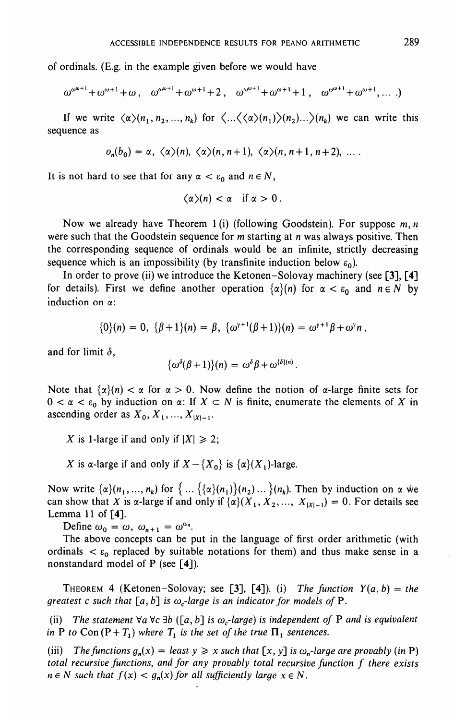of ordinals. (E.g. in the example given before we would have

$$
\omega^{\omega^{\omega+1}} + \omega^{\omega+1} + \omega, \quad \omega^{\omega^{\omega+1}} + \omega^{\omega+1} + 2, \quad \omega^{\omega^{\omega+1}} + \omega^{\omega+1} + 1, \quad \omega^{\omega^{\omega+1}} + \omega^{\omega+1}, \dots
$$

If we write  $\langle \alpha \rangle (n_1, n_2, ..., n_k)$  for  $\langle ... \langle \langle \alpha \rangle (n_1) \rangle (n_2) ... \rangle (n_k)$  we can write this sequence as

$$
o_n(b_0) = \alpha, \ \langle \alpha \rangle(n), \ \langle \alpha \rangle(n, n+1), \ \langle \alpha \rangle(n, n+1, n+2), \ \ldots
$$

It is not hard to see that for any  $\alpha < \varepsilon_0$  and  $n \in N$ ,

$$
\langle \alpha \rangle(n) < \alpha \quad \text{if } \alpha > 0 \, .
$$

Now we already have Theorem 1 (i) (following Goodstein). For suppose *m, n* were such that the Goodstein sequence for m starting at *n* was always positive. Then the corresponding sequence of ordinals would be an infinite, strictly decreasing sequence which is an impossibility (by transfinite induction below  $\varepsilon_0$ ).

In order to prove (ii) we introduce the Ketonen-Solovay machinery (see [3], [4] for details). First we define another operation  $\{\alpha\}(n)$  for  $\alpha < \varepsilon_0$  and  $n \in N$  by induction on a:

$$
\{0\}(n) = 0, \ \{\beta+1\}(n) = \beta, \ \{\omega^{\gamma+1}(\beta+1)\}(n) = \omega^{\gamma+1}\beta + \omega^{\gamma}n,
$$

and for limit  $\delta$ ,

$$
\{\omega^{\delta}(\beta+1)\}(n) = \omega^{\delta}\beta + \omega^{\{\delta\}(n)}
$$

Note that  $\{\alpha\}(n) < \alpha$  for  $\alpha > 0$ . Now define the notion of  $\alpha$ -large finite sets for  $0 < \alpha < \varepsilon_0$  by induction on  $\alpha$ : If  $X \subset N$  is finite, enumerate the elements of X in ascending order as  $X_0, X_1, \ldots, X_{|X|-1}$ .

*X* is 1-large if and only if  $|X| \ge 2$ ;

*X* is  $\alpha$ -large if and only if  $X - \{X_0\}$  is  $\{\alpha\}(X_1)$ -large.

Now write  $\{\alpha\}(n_1,\ldots,n_k)$  for  $\{\ldots\{\{\alpha\}(n_1)\}(n_2)\ldots\}(n_k)$ . Then by induction on  $\alpha$  we can show that X is  $\alpha$ -large if and only if  $\{\alpha\}(X_1, X_2, ..., X_{|X|-1}) = 0$ . For details see Lemma 11 of [4].

Define  $\omega_0 = \omega$ ,  $\omega_{n+1} = \omega^{\omega_n}$ .

The above concepts can be put in the language of first order arithmetic (with ordinals  $\lt \varepsilon_0$  replaced by suitable notations for them) and thus make sense in a nonstandard model of P (see [4]).

THEOREM 4 (Ketonen-Solovay; see [3], [4]). (i) The function  $Y(a, b) = the$ *greatest c such that*  $[a, b]$  *is*  $\omega_c$ *-large is an indicator for models of P.* 

(ii) The statement  $\forall a \forall c \exists b \ ([a, b] \text{ is } \omega_c\text{-}large)$  is independent of P and is equivalent *in* **P** to Con  $(P + T_1)$  where  $T_1$  is the set of the true  $\Pi_1$  sentences.

(iii) The functions  $g_n(x) =$  least  $y \ge x$  such that  $[x, y]$  is  $\omega_n$ -large are provably (in P) *total recursive functions, and for any provably total recursive function f there exists*  $n \in N$  such that  $f(x) < g_n(x)$  for all sufficiently large  $x \in N$ .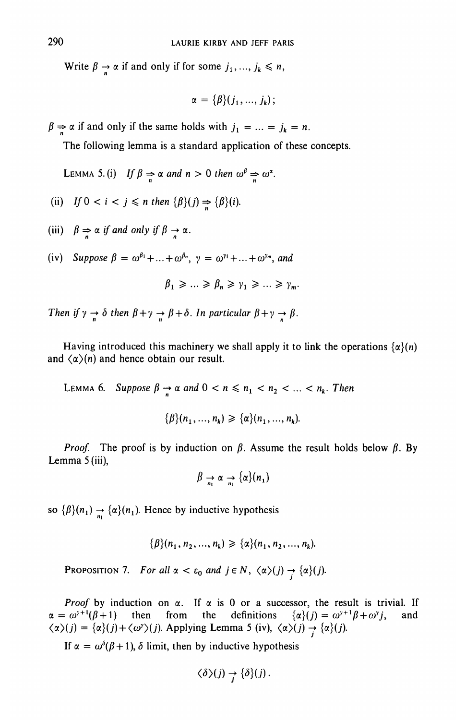Write  $\beta \rightarrow \alpha$  if and only if for some  $j_1, ..., j_k \leq n$ ,

$$
\alpha = {\beta}(j_1,...,j_k);
$$

 $\beta \Rightarrow \alpha$  if and only if the same holds with  $j_1 = ... = j_k = n$ .

The following lemma is a standard application of these concepts.

LEMMA 5. (i) If  $\beta \Rightarrow \alpha$  and  $n > 0$  then  $\omega^{\beta} \Rightarrow \omega^{\alpha}$ .

(ii) If 
$$
0 < i < j \leq n
$$
 then  $\{\beta\}(j) \Rightarrow \{\beta\}(i)$ .

(iii)  $\beta \Rightarrow \alpha$  if and only if  $\beta \rightarrow \alpha$ .

(iv) Suppose  $\beta = \omega^{\beta_1} + ... + \omega^{\beta_n}$ ,  $\gamma = \omega^{\gamma_1} + ... + \omega^{\gamma_m}$ , and

$$
\beta_1 \geq \ldots \geq \beta_n \geq \gamma_1 \geq \ldots \geq \gamma_m.
$$

Then if  $\gamma \to \delta$  then  $\beta + \gamma \to \beta + \delta$ . In particular  $\beta + \gamma \to \beta$ .

Having introduced this machinery we shall apply it to link the operations  $\{\alpha\}(n)$ and  $\langle \alpha \rangle(n)$  and hence obtain our result.

LEMMA 6. Suppose  $\beta \rightarrow \alpha$  and  $0 < n \leq n_1 < n_2 < ... < n_k$ . Then

$$
\{\beta\}(n_1, ..., n_k) \geq \{\alpha\}(n_1, ..., n_k).
$$

*Proof.* The proof is by induction on  $\beta$ . Assume the result holds below  $\beta$ . By Lemma 5 (iii),

$$
\beta \to \alpha \to {\alpha \choose n} (n_1)
$$

so  $\{\beta\}(n_1) \rightarrow \{\alpha\}(n_1)$ . Hence by inductive hypothesis

$$
\{\beta\}(n_1, n_2, ..., n_k) \geq {\alpha\}(n_1, n_2, ..., n_k).
$$

PROPOSITION 7. For all  $\alpha < \varepsilon_0$  and  $j \in N$ ,  $\langle \alpha \rangle(j) \rightarrow {\alpha \choose j}$ .

*Proof* by induction on  $\alpha$ . If  $\alpha$  is 0 or a successor, the result is trivial. If  $\alpha = \omega^{y+1}(\beta + 1)$  then from the definitions  $\{\alpha\}(j) = \omega^{y+1}\beta + \omega^y j$ , and  $\langle \alpha \rangle(j) = {\alpha \choose j} + {\langle \omega^y \rangle(j)}$ . Applying Lemma 5 (iv),  $\langle \alpha \rangle(j) \rightarrow {\alpha \choose j}$ .

If  $\alpha = \omega^{\delta}(\beta + 1)$ ,  $\delta$  limit, then by inductive hypothesis

$$
\langle \delta \rangle(j) \rightarrow \{ \delta \}(j).
$$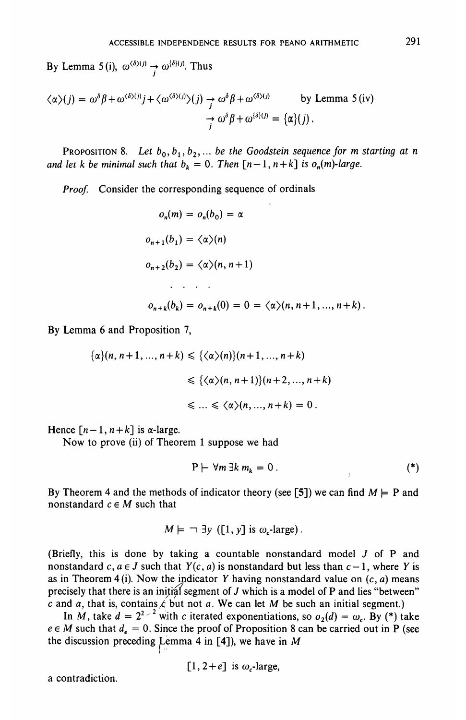By Lemma 5(i),  $\omega^{\langle \delta \rangle(j)} \rightarrow \omega^{\{ \delta \}(j)}$ . Thus

$$
\langle \alpha \rangle(j) = \omega^{\delta} \beta + \omega^{\langle \delta \rangle(j)} j + \langle \omega^{\langle \delta \rangle(j)} \rangle(j) \rightarrow \omega^{\delta} \beta + \omega^{\langle \delta \rangle(j)} \qquad \text{by Lemma 5 (iv)}
$$

$$
\rightarrow \omega^{\delta} \beta + \omega^{\langle \delta \rangle(j)} = {\alpha \choose j}.
$$

PROPOSITION 8. Let  $b_0, b_1, b_2, ...$  be the Goodstein sequence for m starting at n *and let k be minimal such that*  $b_k = 0$ *. Then*  $[n-1, n+k]$  *is o<sub>n</sub>(m)-large.* 

*Proof.* Consider the corresponding sequence of ordinals

$$
o_n(m) = o_n(b_0) = \alpha
$$
  
\n
$$
o_{n+1}(b_1) = \langle \alpha \rangle(n)
$$
  
\n
$$
o_{n+2}(b_2) = \langle \alpha \rangle(n, n+1)
$$
  
\n...  
\n
$$
o_{n+k}(b_k) = o_{n+k}(0) = 0 = \langle \alpha \rangle(n, n+1, ..., n+k).
$$

By Lemma 6 and Proposition 7,

$$
\{\alpha\}(n, n+1, \ldots, n+k) \leq \{\langle \alpha \rangle(n)\}(n+1, \ldots, n+k)
$$
  

$$
\leq \{\langle \alpha \rangle(n, n+1)\}(n+2, \ldots, n+k)
$$
  

$$
\leq \ldots \leq \langle \alpha \rangle(n, \ldots, n+k) = 0.
$$

Hence  $[n-1, n+k]$  is  $\alpha$ -large.

Now to prove (ii) of Theorem 1 suppose we had

$$
P \vdash \forall m \exists k \; m_k = 0 \; . \tag{*}
$$

By Theorem 4 and the methods of indicator theory (see [5]) we can find  $M \models P$  and nonstandard  $c \in M$  such that

$$
M \models \neg \exists y \ ([1, y] \text{ is } \omega_c\text{-large}).
$$

(Briefly, this is done by taking a countable nonstandard model *J* of P and nonstandard  $c, a \in J$  such that  $Y(c, a)$  is nonstandard but less than  $c - 1$ , where Y is as in Theorem 4 (i). Now the indicator *Y* having nonstandard value on (c, *a)* means precisely that there is an initial segment of *J* which is a model of P and lies "between" *c* and *a,* that is, contains *£* but not *a.* We can let *M* be such an initial segment.)

In *M*, take  $d = 2^{2^{n-2}}$  with c iterated exponentiations, so  $o_2(d) = \omega_c$ . By (\*) take  $e \in M$  such that  $d_e = 0$ . Since the proof of Proposition 8 can be carried out in P (see the discussion preceding Lemma 4 in  $[4]$ ), we have in M

[1, 2+
$$
e
$$
] is  $\omega_c$ -large,

a contradiction.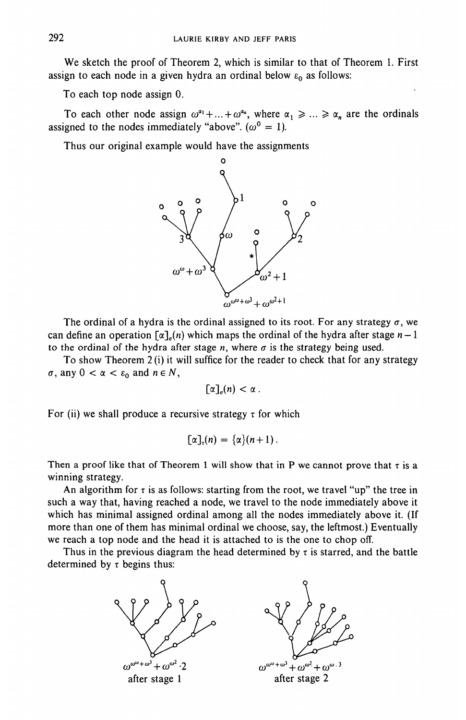We sketch the proof of Theorem 2, which is similar to that of Theorem 1. First assign to each node in a given hydra an ordinal below  $\varepsilon_0$  as follows:

To each top node assign 0.

To each other node assign  $\omega^{a_1} + ... + \omega^{a_n}$ , where  $\alpha_1 \geq ... \geq \alpha_n$  are the ordinals assigned to the nodes immediately "above".  $(\omega^0 = 1)$ .

Thus our original example would have the assignments



The ordinal of a hydra is the ordinal assigned to its root. For any strategy  $\sigma$ , we can define an operation  $\lceil \alpha \rceil_{\alpha}$  which maps the ordinal of the hydra after stage  $n-1$ to the ordinal of the hydra after stage *n*, where  $\sigma$  is the strategy being used.

To show Theorem 2 (i) it will suffice for the reader to check that for any strategy  $\sigma$ , any  $0 < \alpha < \varepsilon_0$  and  $n \in N$ ,

$$
[\alpha]_{\sigma}(n) < \alpha \, .
$$

For (ii) we shall produce a recursive strategy  $\tau$  for which

$$
[\alpha]_{\tau}(n) = {\alpha}(n+1).
$$

Then a proof like that of Theorem 1 will show that in P we cannot prove that  $\tau$  is a winning strategy.

An algorithm for  $\tau$  is as follows: starting from the root, we travel "up" the tree in such a way that, having reached a node, we travel to the node immediately above it which has minimal assigned ordinal among all the nodes immediately above it. (If more than one of them has minimal ordinal we choose, say, the leftmost.) Eventually we reach a top node and the head it is attached to is the one to chop off.

Thus in the previous diagram the head determined by  $\tau$  is starred, and the battle determined by  $\tau$  begins thus: